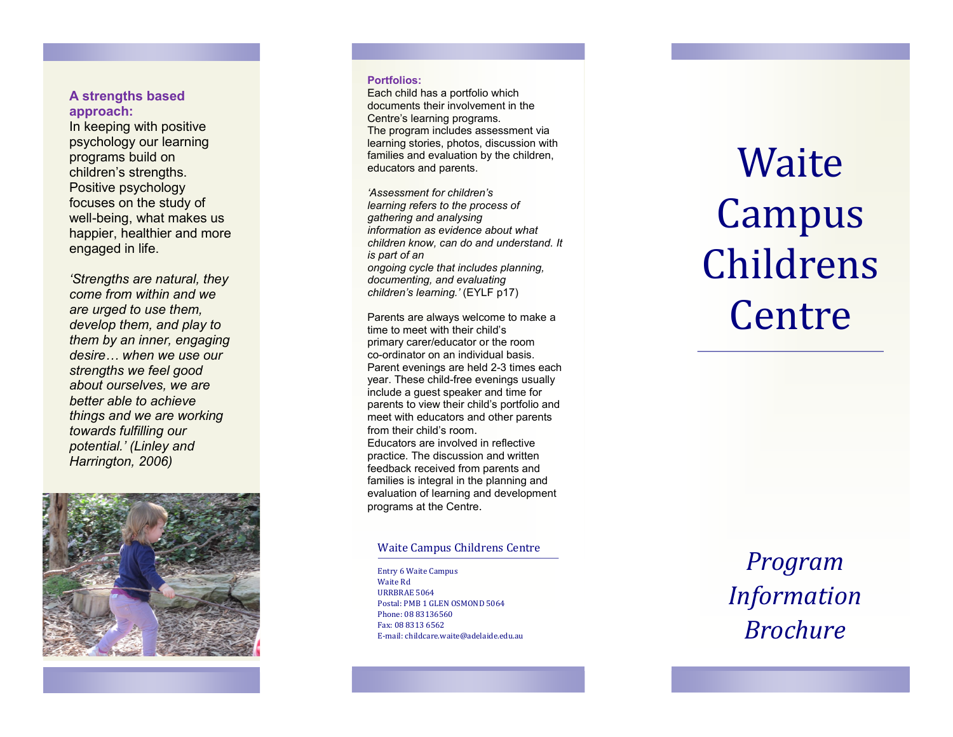# **A strengths based approach:**

In keeping with positive psychology our learning programs build on children's strengths. Positive psychology focuses on the study of well -being, what makes us happier, healthier and more engaged in life.

*'Strengths are natural, they come from within and we are urged to use them, develop them, and play to them by an inner, engaging desire… when we use our strengths we feel good about ourselves, we are better able to achieve things and we are working towards fulfilling our potential.' (Linley and Harrington, 2006)*



#### **Portfolios:**

Each child has a portfolio which documents their involvement in the Centre's learning programs. The program includes assessment via learning stories, photos, discussion with families and evaluation by the children, educators and parents.

*'Assessment for children's learning refers to the process of gathering and analysing information as evidence about what children know, can do and understand. It is part of an ongoing cycle that includes planning, documenting, and evaluating children's learning.'* (EYLF p17)

Parents are always welcome to make a time to meet with their child's primary carer/educator or the room co -ordinator on an individual basis. Parent evenings are held 2 -3 times each year. These child -free evenings usually include a guest speaker and time for parents to view their child's portfolio and meet with educators and other parents from their child's room . Educators are involved in reflective practice. The discussion and written feedback received from parents and families is integral in the planning and evaluation of learning and development programs at the Centre.

### Waite Campus Childrens Centre

Entry 6 Waite Campus Waite Rd URRBRAE 5064 Postal: PMB 1 GLEN OSMOND 5064 Phone: 08 83136560 Fax: 08 8313 6562 E-mail: childcare.waite@adelaide.edu.au

# **Waite** Campus Childrens Centre

*Program Information Brochure*